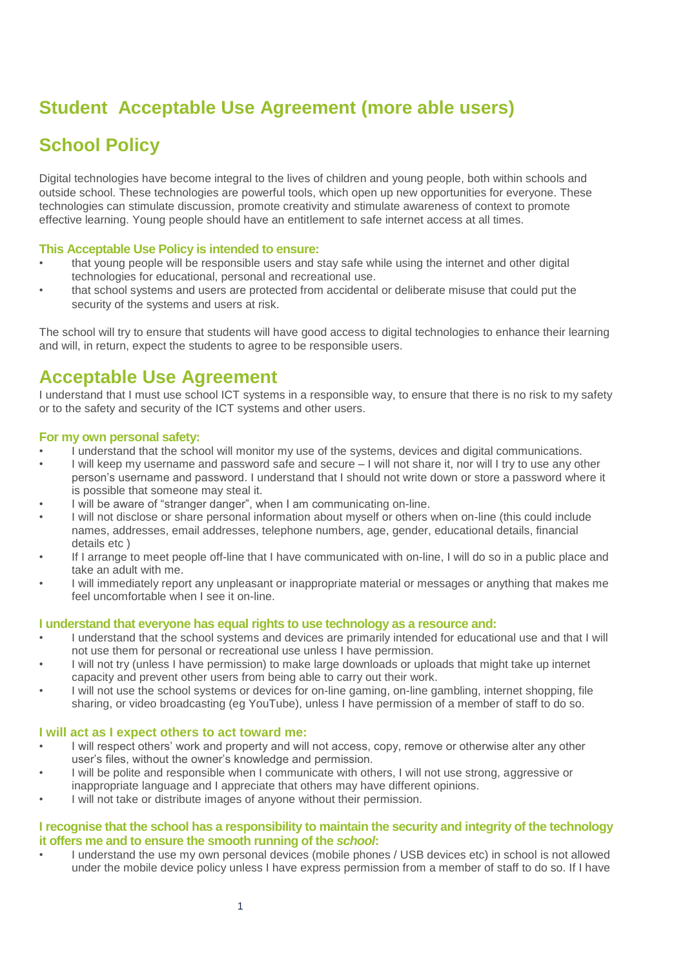# **Student Acceptable Use Agreement (more able users)**

# **School Policy**

Digital technologies have become integral to the lives of children and young people, both within schools and outside school. These technologies are powerful tools, which open up new opportunities for everyone. These technologies can stimulate discussion, promote creativity and stimulate awareness of context to promote effective learning. Young people should have an entitlement to safe internet access at all times.

# **This Acceptable Use Policy is intended to ensure:**

- that young people will be responsible users and stay safe while using the internet and other digital technologies for educational, personal and recreational use.
- that school systems and users are protected from accidental or deliberate misuse that could put the security of the systems and users at risk.

The school will try to ensure that students will have good access to digital technologies to enhance their learning and will, in return, expect the students to agree to be responsible users.

# **Acceptable Use Agreement**

I understand that I must use school ICT systems in a responsible way, to ensure that there is no risk to my safety or to the safety and security of the ICT systems and other users.

### **For my own personal safety:**

- I understand that the school will monitor my use of the systems, devices and digital communications.
- I will keep my username and password safe and secure I will not share it, nor will I try to use any other person's username and password. I understand that I should not write down or store a password where it is possible that someone may steal it.
- I will be aware of "stranger danger", when I am communicating on-line.
- I will not disclose or share personal information about myself or others when on-line (this could include names, addresses, email addresses, telephone numbers, age, gender, educational details, financial details etc )
- If I arrange to meet people off-line that I have communicated with on-line, I will do so in a public place and take an adult with me.
- I will immediately report any unpleasant or inappropriate material or messages or anything that makes me feel uncomfortable when I see it on-line.

# **I understand that everyone has equal rights to use technology as a resource and:**

- I understand that the school systems and devices are primarily intended for educational use and that I will not use them for personal or recreational use unless I have permission.
- I will not try (unless I have permission) to make large downloads or uploads that might take up internet capacity and prevent other users from being able to carry out their work.
- I will not use the school systems or devices for on-line gaming, on-line gambling, internet shopping, file sharing, or video broadcasting (eg YouTube), unless I have permission of a member of staff to do so.

#### **I will act as I expect others to act toward me:**

- I will respect others' work and property and will not access, copy, remove or otherwise alter any other user's files, without the owner's knowledge and permission.
- I will be polite and responsible when I communicate with others, I will not use strong, aggressive or inappropriate language and I appreciate that others may have different opinions.
- I will not take or distribute images of anyone without their permission.

# **I recognise that the school has a responsibility to maintain the security and integrity of the technology it offers me and to ensure the smooth running of the** *school***:**

• I understand the use my own personal devices (mobile phones / USB devices etc) in school is not allowed under the mobile device policy unless I have express permission from a member of staff to do so. If I have